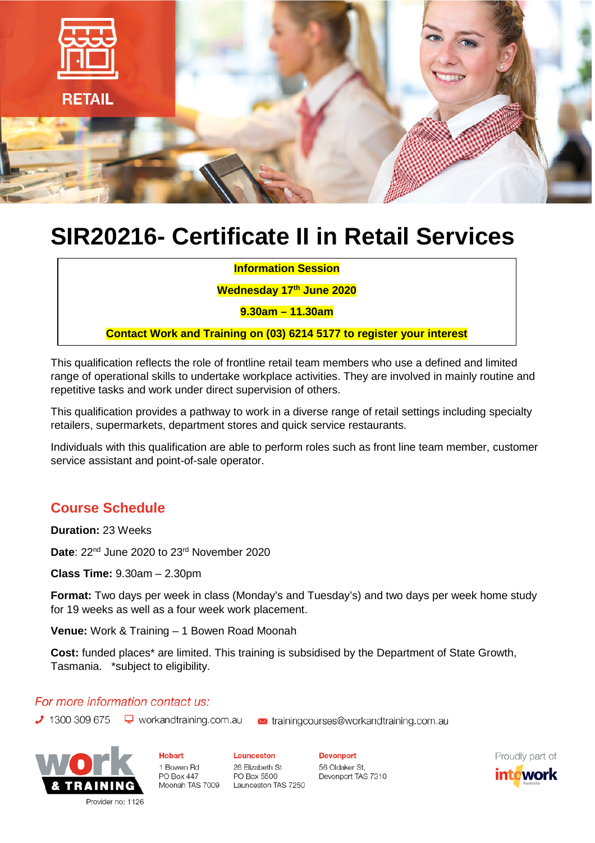

# **SIR20216- Certificate II in Retail Services**

**Information Session**

**Wednesday 17th June 2020**

**9.30am – 11.30am**

**Contact Work and Training on (03) 6214 5177 to register your interest**

This qualification reflects the role of frontline retail team members who use a defined and limited range of operational skills to undertake workplace activities. They are involved in mainly routine and repetitive tasks and work under direct supervision of others.

This qualification provides a pathway to work in a diverse range of retail settings including specialty retailers, supermarkets, department stores and quick service restaurants.

Individuals with this qualification are able to perform roles such as front line team member, customer service assistant and point-of-sale operator.

## **Course Schedule**

**Duration:** 23 Weeks

**Date**: 22nd June 2020 to 23rd November 2020

**Class Time:** 9.30am – 2.30pm

**Format:** Two days per week in class (Monday's and Tuesday's) and two days per week home study for 19 weeks as well as a four week work placement.

**Venue:** Work & Training – 1 Bowen Road Moonah

**Cost:** funded places\* are limited. This training is subsidised by the Department of State Growth, Tasmania. \*subject to eligibility.

### For more information contact us:

 $\bigcup$  1300 309 675  $\bigcup$  workandtraining.com.au iatrainingcourses@workandtraining.com.au



**Hobart** 1 Bowen Rd **PO Box 447** 

Launceston 26 Elizabeth St PO Box 5500 Moonah TAS 7009 Launceston TAS 7250 **Devonport** 56 Oldaker St, Devonport TAS 7310 Proudly part of int<mark>a</mark>work